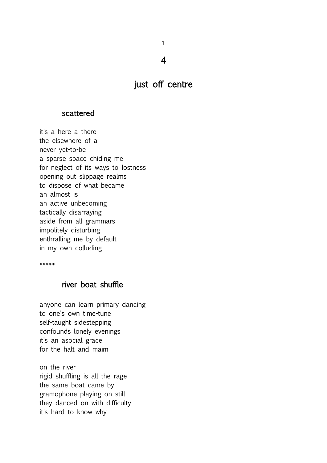1 4

just off centre

### scattered

it's a here a there the elsewhere of a never yet-to-be a sparse space chiding me for neglect of its ways to lostness opening out slippage realms to dispose of what became an almost is an active unbecoming tactically disarraying aside from all grammars impolitely disturbing enthralling me by default in my own colluding

\*\*\*\*\*

### river boat shuffle

anyone can learn primary dancing to one's own time-tune self-taught sidestepping confounds lonely evenings it's an asocial grace for the halt and maim

on the river rigid shuffling is all the rage the same boat came by gramophone playing on still they danced on with difficulty it's hard to know why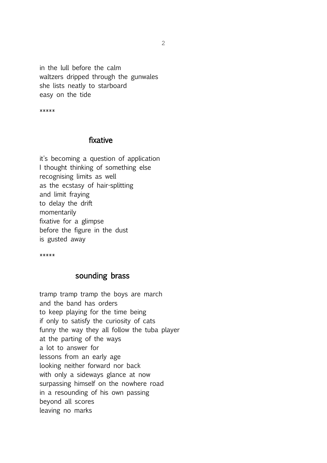in the lull before the calm waltzers dripped through the gunwales she lists neatly to starboard easy on the tide

\*\*\*\*\*

### fixative

it's becoming a question of application I thought thinking of something else recognising limits as well as the ecstasy of hair-splitting and limit fraying to delay the drift momentarily fixative for a glimpse before the figure in the dust is gusted away

\*\*\*\*\*

### sounding brass

tramp tramp tramp the boys are march and the band has orders to keep playing for the time being if only to satisfy the curiosity of cats funny the way they all follow the tuba player at the parting of the ways a lot to answer for lessons from an early age looking neither forward nor back with only a sideways glance at now surpassing himself on the nowhere road in a resounding of his own passing beyond all scores leaving no marks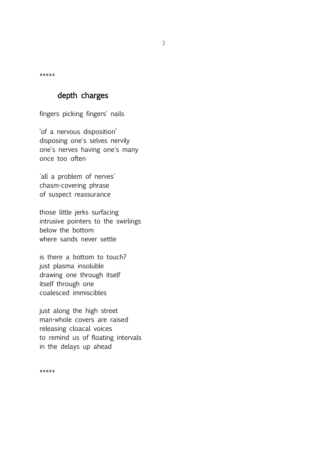\*\*\*\*\*

# depth charges

fingers picking fingers' nails

'of a nervous disposition' disposing one's selves nervily one's nerves having one's many once too often

'all a problem of nerves' chasm-covering phrase of suspect reassurance

those little jerks surfacing intrusive pointers to the swirlings below the bottom where sands never settle

is there a bottom to touch? just plasma insoluble drawing one through itself itself through one coalesced immiscibles

just along the high street man-whole covers are raised releasing cloacal voices to remind us of floating intervals in the delays up ahead

\*\*\*\*\*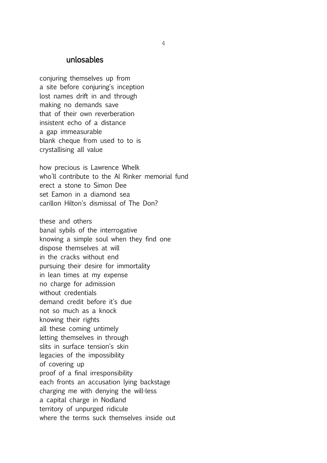### unlosables

conjuring themselves up from a site before conjuring's inception lost names drift in and through making no demands save that of their own reverberation insistent echo of a distance a gap immeasurable blank cheque from used to to is crystallising all value

how precious is Lawrence Whelk who'll contribute to the Al Rinker memorial fund erect a stone to Simon Dee set Eamon in a diamond sea carillon Hilton's dismissal of The Don?

these and others banal sybils of the interrogative knowing a simple soul when they find one dispose themselves at will in the cracks without end pursuing their desire for immortality in lean times at my expense no charge for admission without credentials demand credit before it's due not so much as a knock knowing their rights all these coming untimely letting themselves in through slits in surface tension's skin legacies of the impossibility of covering up proof of a final irresponsibility each fronts an accusation lying backstage charging me with denying the will-less a capital charge in Nodland territory of unpurged ridicule where the terms suck themselves inside out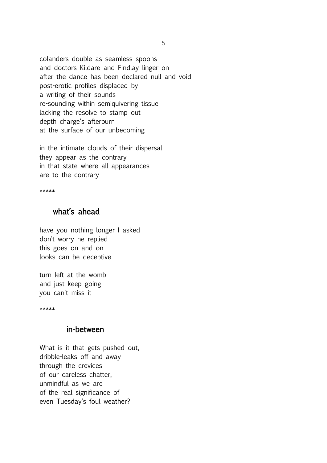colanders double as seamless spoons and doctors Kildare and Findlay linger on after the dance has been declared null and void post-erotic profiles displaced by a writing of their sounds re-sounding within semiquivering tissue lacking the resolve to stamp out depth charge's afterburn at the surface of our unbecoming

in the intimate clouds of their dispersal they appear as the contrary in that state where all appearances are to the contrary

\*\*\*\*\*

# what's ahead

have you nothing longer I asked don't worry he replied this goes on and on looks can be deceptive

turn left at the womb and just keep going you can't miss it

\*\*\*\*\*

### in-between

What is it that gets pushed out, dribble-leaks off and away through the crevices of our careless chatter, unmindful as we are of the real significance of even Tuesday's foul weather?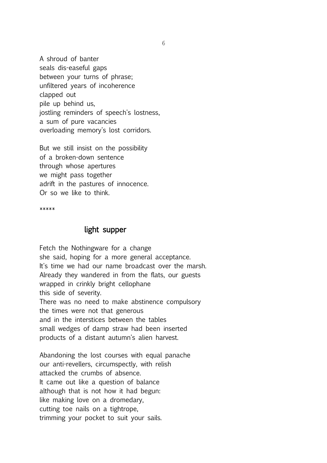A shroud of banter seals dis-easeful gaps between your turns of phrase; unfiltered years of incoherence clapped out pile up behind us, jostling reminders of speech's lostness, a sum of pure vacancies overloading memory's lost corridors.

But we still insist on the possibility of a broken-down sentence through whose apertures we might pass together adrift in the pastures of innocence. Or so we like to think.

\*\*\*\*\*

### light supper

Fetch the Nothingware for a change she said, hoping for a more general acceptance. It's time we had our name broadcast over the marsh. Already they wandered in from the flats, our guests wrapped in crinkly bright cellophane this side of severity. There was no need to make abstinence compulsory the times were not that generous and in the interstices between the tables small wedges of damp straw had been inserted products of a distant autumn's alien harvest.

Abandoning the lost courses with equal panache our anti-revellers, circumspectly, with relish attacked the crumbs of absence. It came out like a question of balance although that is not how it had begun: like making love on a dromedary, cutting toe nails on a tightrope, trimming your pocket to suit your sails.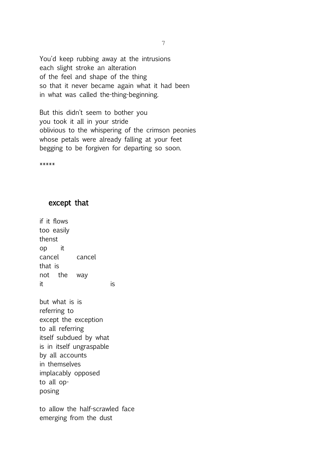You'd keep rubbing away at the intrusions each slight stroke an alteration of the feel and shape of the thing so that it never became again what it had been in what was called the-thing-beginning.

But this didn't seem to bother you you took it all in your stride oblivious to the whispering of the crimson peonies whose petals were already falling at your feet begging to be forgiven for departing so soon.

\*\*\*\*\*

### except that

if it flows too easily thenst op it cancel cancel that is not the way it is a set of  $\overline{a}$  is  $\overline{b}$ 

but what is is referring to except the exception to all referring itself subdued by what is in itself ungraspable by all accounts in themselves implacably opposed to all opposing

to allow the half-scrawled face emerging from the dust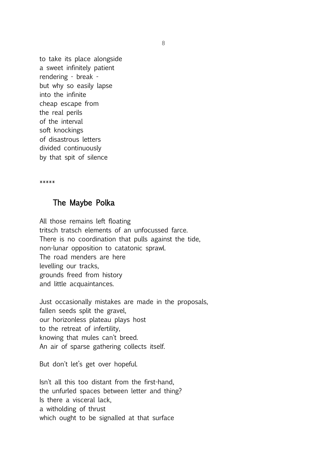to take its place alongside a sweet infinitely patient rendering - break but why so easily lapse into the infinite cheap escape from the real perils of the interval soft knockings of disastrous letters divided continuously by that spit of silence

\*\*\*\*\*

### The Maybe Polka

All those remains left floating tritsch tratsch elements of an unfocussed farce. There is no coordination that pulls against the tide, non-lunar opposition to catatonic sprawl. The road menders are here levelling our tracks, grounds freed from history and little acquaintances.

Just occasionally mistakes are made in the proposals, fallen seeds split the gravel, our horizonless plateau plays host to the retreat of infertility, knowing that mules can't breed. An air of sparse gathering collects itself.

But don't let's get over hopeful.

Isn't all this too distant from the first-hand, the unfurled spaces between letter and thing? Is there a visceral lack, a witholding of thrust which ought to be signalled at that surface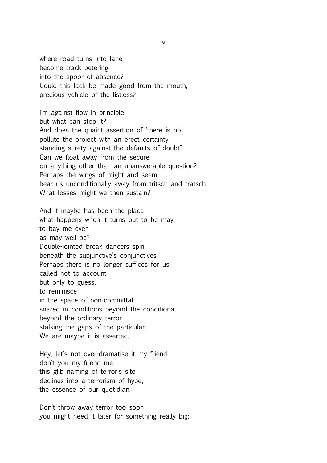where road turns into lane become track petering into the spoor of absence? Could this lack be made good from the mouth, precious vehicle of the listless?

I'm against flow in principle but what can stop it? And does the quaint assertion of 'there is no' pollute the project with an erect certainty standing surety against the defaults of doubt? Can we float away from the secure on anything other than an unanswerable question? Perhaps the wings of might and seem bear us unconditionally away from tritsch and tratsch. What losses might we then sustain?

And if maybe has been the place what happens when it turns out to be may to bay me even as may well be? Double-jointed break dancers spin beneath the subjunctive's conjunctives. Perhaps there is no longer suffices for us called not to account but only to guess, to reminisce in the space of non-committal, snared in conditions beyond the conditional beyond the ordinary terror stalking the gaps of the particular. We are maybe it is asserted.

Hey, let's not over-dramatise it my friend, don't you my friend me, this glib naming of terror's site declines into a terrorism of hype, the essence of our quotidian.

Don't throw away terror too soon you might need it later for something really big;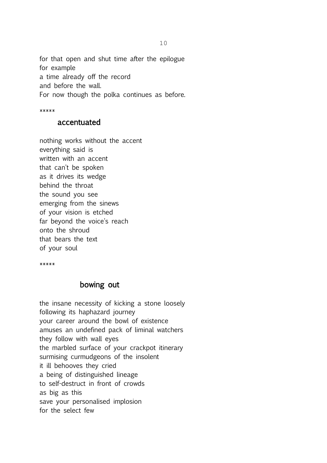for that open and shut time after the epilogue for example a time already off the record and before the wall. For now though the polka continues as before.

\*\*\*\*\*

### accentuated

nothing works without the accent everything said is written with an accent that can't be spoken as it drives its wedge behind the throat the sound you see emerging from the sinews of your vision is etched far beyond the voice's reach onto the shroud that bears the text of your soul

\*\*\*\*\*

### bowing out

the insane necessity of kicking a stone loosely following its haphazard journey your career around the bowl of existence amuses an undefined pack of liminal watchers they follow with wall eyes the marbled surface of your crackpot itinerary surmising curmudgeons of the insolent it ill behooves they cried a being of distinguished lineage to self-destruct in front of crowds as big as this save your personalised implosion for the select few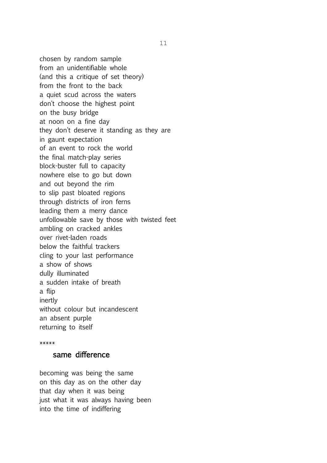chosen by random sample from an unidentifiable whole (and this a critique of set theory) from the front to the back a quiet scud across the waters don't choose the highest point on the busy bridge at noon on a fine day they don't deserve it standing as they are in gaunt expectation of an event to rock the world the final match-play series block-buster full to capacity nowhere else to go but down and out beyond the rim to slip past bloated regions through districts of iron ferns leading them a merry dance unfollowable save by those with twisted feet ambling on cracked ankles over rivet-laden roads below the faithful trackers cling to your last performance a show of shows dully illuminated a sudden intake of breath a flip inertly without colour but incandescent an absent purple returning to itself

#### \*\*\*\*\*

### same difference

becoming was being the same on this day as on the other day that day when it was being just what it was always having been into the time of indiffering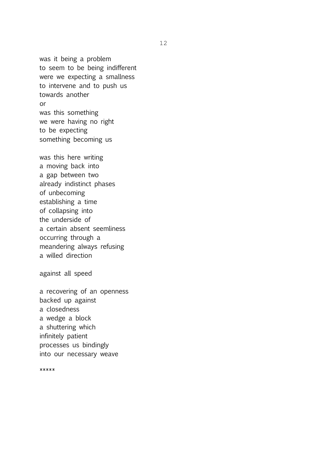was it being a problem to seem to be being indifferent were we expecting a smallness to intervene and to push us towards another or was this something we were having no right to be expecting something becoming us

was this here writing a moving back into a gap between two already indistinct phases of unbecoming establishing a time of collapsing into the underside of a certain absent seemliness occurring through a meandering always refusing a willed direction

against all speed

a recovering of an openness backed up against a closedness a wedge a block a shuttering which infinitely patient processes us bindingly into our necessary weave

\*\*\*\*\*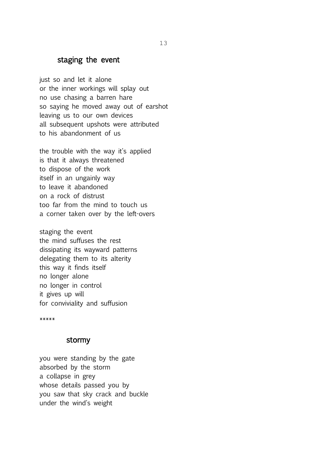## staging the event

just so and let it alone or the inner workings will splay out no use chasing a barren hare so saying he moved away out of earshot leaving us to our own devices all subsequent upshots were attributed to his abandonment of us

the trouble with the way it's applied is that it always threatened to dispose of the work itself in an ungainly way to leave it abandoned on a rock of distrust too far from the mind to touch us a corner taken over by the left-overs

staging the event the mind suffuses the rest dissipating its wayward patterns delegating them to its alterity this way it finds itself no longer alone no longer in control it gives up will for conviviality and suffusion

\*\*\*\*\*

### stormy

you were standing by the gate absorbed by the storm a collapse in grey whose details passed you by you saw that sky crack and buckle under the wind's weight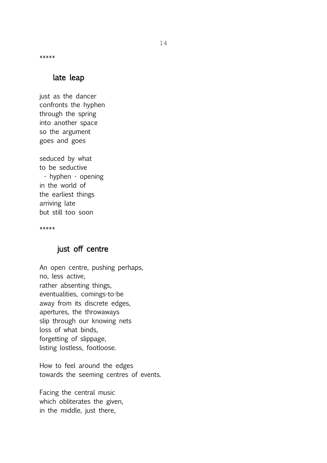\*\*\*\*\*

### late leap

just as the dancer confronts the hyphen through the spring into another space so the argument goes and goes

seduced by what to be seductive - hyphen - opening in the world of the earliest things arriving late but still too soon

\*\*\*\*\*

## just off centre

An open centre, pushing perhaps, no, less active, rather absenting things, eventualities, comings-to-be away from its discrete edges, apertures, the throwaways slip through our knowing nets loss of what binds, forgetting of slippage, listing lostless, footloose.

How to feel around the edges towards the seeming centres of events.

Facing the central music which obliterates the given, in the middle, just there,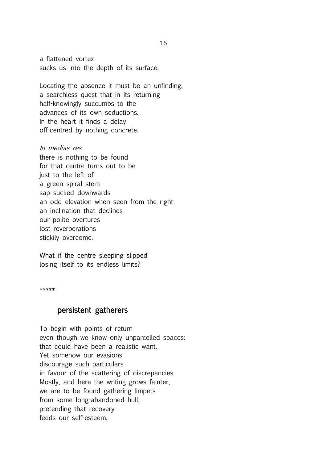a flattened vortex sucks us into the depth of its surface.

Locating the absence it must be an unfinding, a searchless quest that in its returning half-knowingly succumbs to the advances of its own seductions. In the heart it finds a delay off-centred by nothing concrete.

In medias res there is nothing to be found for that centre turns out to be just to the left of a green spiral stem sap sucked downwards an odd elevation when seen from the right an inclination that declines our polite overtures lost reverberations stickily overcome.

What if the centre sleeping slipped losing itself to its endless limits?

\*\*\*\*\*

### persistent gatherers

To begin with points of return even though we know only unparcelled spaces: that could have been a realistic want. Yet somehow our evasions discourage such particulars in favour of the scattering of discrepancies. Mostly, and here the writing grows fainter, we are to be found gathering limpets from some long-abandoned hull, pretending that recovery feeds our self-esteem.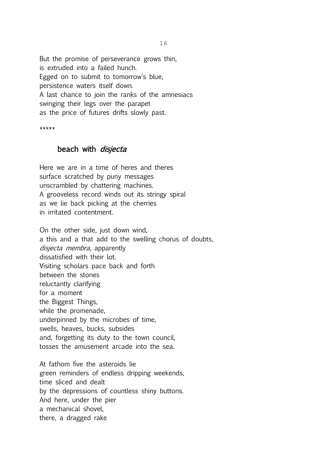But the promise of perseverance grows thin, is extruded into a failed hunch. Egged on to submit to tomorrow's blue, persistence waters itself down. A last chance to join the ranks of the amnesiacs swinging their legs over the parapet as the price of futures drifts slowly past.

\*\*\*\*\*

### beach with *disjecta*

Here we are in a time of heres and theres surface scratched by puny messages unscrambled by chattering machines. A grooveless record winds out its stringy spiral as we lie back picking at the cherries in irritated contentment.

On the other side, just down wind, a this and a that add to the swelling chorus of doubts, disjecta membra, apparently dissatisfied with their lot. Visiting scholars pace back and forth between the stones reluctantly clarifying for a moment the Biggest Things, while the promenade, underpinned by the microbes of time, swells, heaves, bucks, subsides and, forgetting its duty to the town council, tosses the amusement arcade into the sea.

At fathom five the asteroids lie green reminders of endless dripping weekends, time sliced and dealt by the depressions of countless shiny buttons. And here, under the pier a mechanical shovel, there, a dragged rake